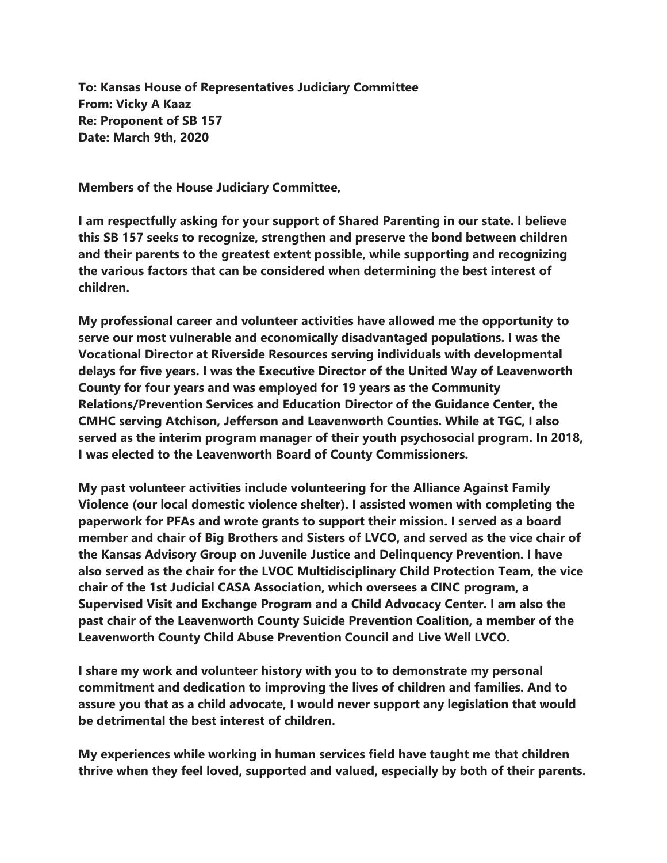**To: Kansas House of Representatives Judiciary Committee From: Vicky A Kaaz Re: Proponent of SB 157 Date: March 9th, 2020**

**Members of the House Judiciary Committee,**

**I am respectfully asking for your support of Shared Parenting in our state. I believe this SB 157 seeks to recognize, strengthen and preserve the bond between children and their parents to the greatest extent possible, while supporting and recognizing the various factors that can be considered when determining the best interest of children.**

**My professional career and volunteer activities have allowed me the opportunity to serve our most vulnerable and economically disadvantaged populations. I was the Vocational Director at Riverside Resources serving individuals with developmental delays for five years. I was the Executive Director of the United Way of Leavenworth County for four years and was employed for 19 years as the Community Relations/Prevention Services and Education Director of the Guidance Center, the CMHC serving Atchison, Jefferson and Leavenworth Counties. While at TGC, I also served as the interim program manager of their youth psychosocial program. In 2018, I was elected to the Leavenworth Board of County Commissioners.**

**My past volunteer activities include volunteering for the Alliance Against Family Violence (our local domestic violence shelter). I assisted women with completing the paperwork for PFAs and wrote grants to support their mission. I served as a board member and chair of Big Brothers and Sisters of LVCO, and served as the vice chair of the Kansas Advisory Group on Juvenile Justice and Delinquency Prevention. I have also served as the chair for the LVOC Multidisciplinary Child Protection Team, the vice chair of the 1st Judicial CASA Association, which oversees a CINC program, a Supervised Visit and Exchange Program and a Child Advocacy Center. I am also the past chair of the Leavenworth County Suicide Prevention Coalition, a member of the Leavenworth County Child Abuse Prevention Council and Live Well LVCO.**

**I share my work and volunteer history with you to to demonstrate my personal commitment and dedication to improving the lives of children and families. And to assure you that as a child advocate, I would never support any legislation that would be detrimental the best interest of children.**

**My experiences while working in human services field have taught me that children thrive when they feel loved, supported and valued, especially by both of their parents.**